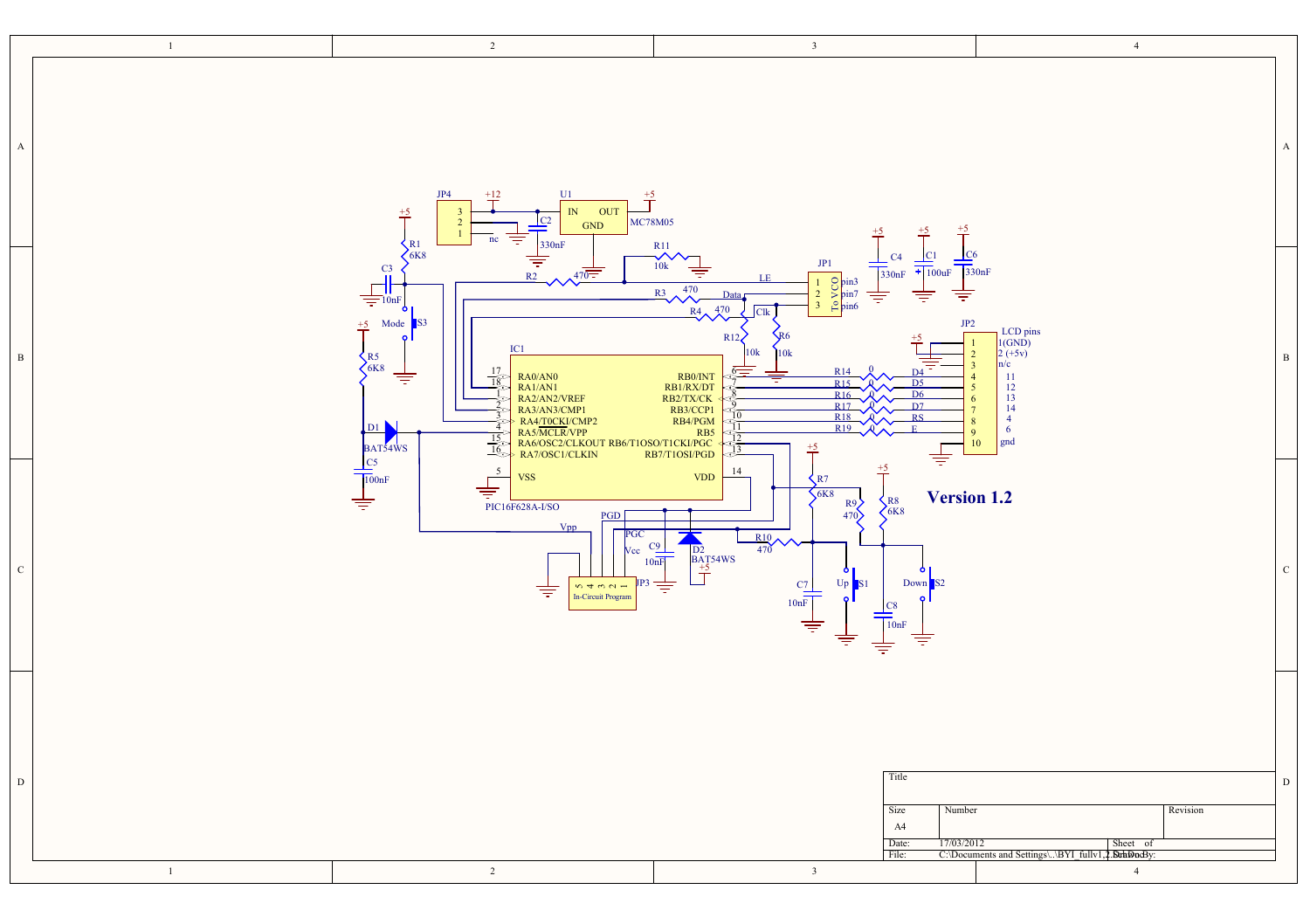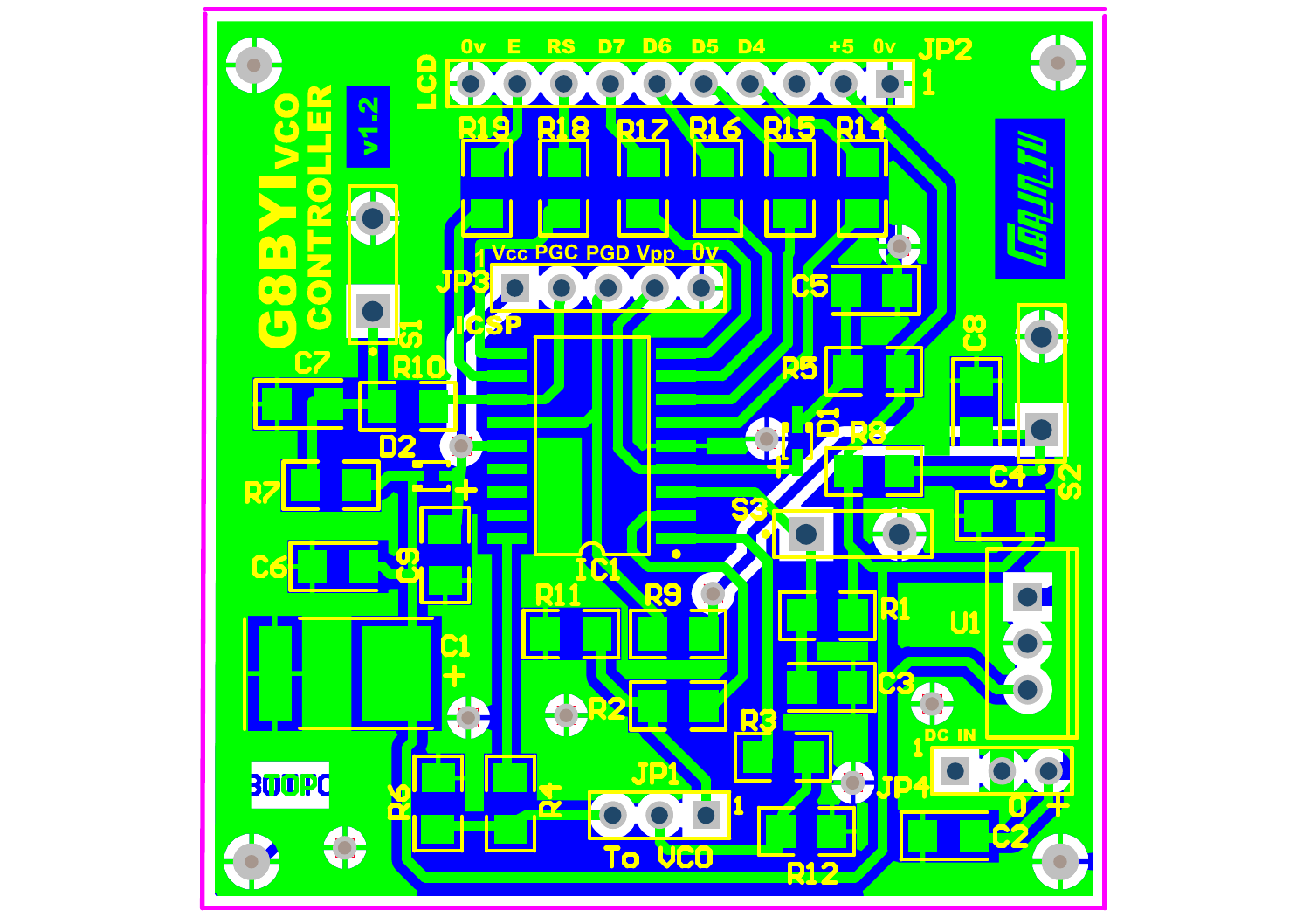